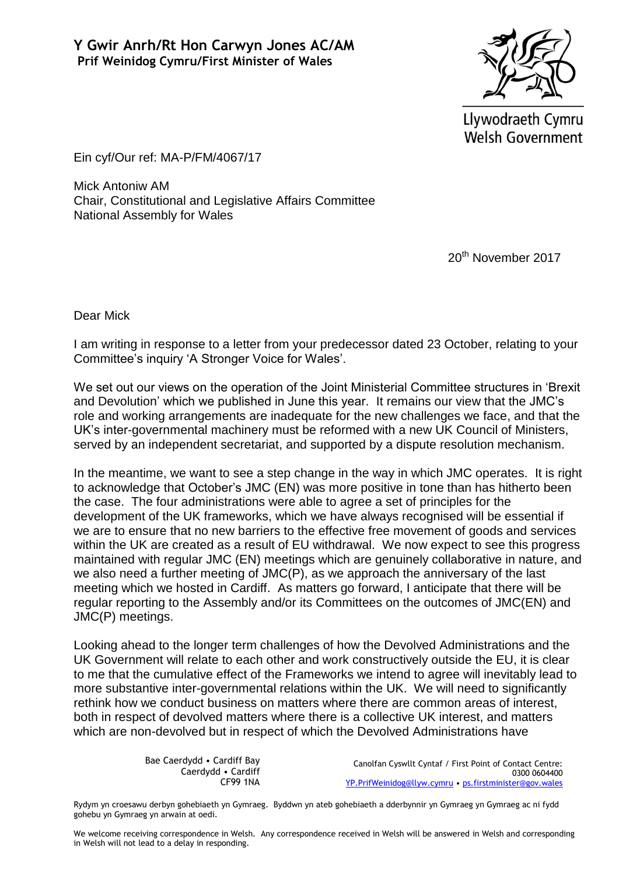

Llywodraeth Cymru **Welsh Government** 

Ein cyf/Our ref: MA-P/FM/4067/17

Mick Antoniw AM Chair, Constitutional and Legislative Affairs Committee National Assembly for Wales

20<sup>th</sup> November 2017

Dear Mick

I am writing in response to a letter from your predecessor dated 23 October, relating to your Committee's inquiry 'A Stronger Voice for Wales'.

We set out our views on the operation of the Joint Ministerial Committee structures in 'Brexit and Devolution' which we published in June this year. It remains our view that the JMC's role and working arrangements are inadequate for the new challenges we face, and that the UK's inter-governmental machinery must be reformed with a new UK Council of Ministers, served by an independent secretariat, and supported by a dispute resolution mechanism.

In the meantime, we want to see a step change in the way in which JMC operates. It is right to acknowledge that October's JMC (EN) was more positive in tone than has hitherto been the case. The four administrations were able to agree a set of principles for the development of the UK frameworks, which we have always recognised will be essential if we are to ensure that no new barriers to the effective free movement of goods and services within the UK are created as a result of EU withdrawal. We now expect to see this progress maintained with regular JMC (EN) meetings which are genuinely collaborative in nature, and we also need a further meeting of JMC(P), as we approach the anniversary of the last meeting which we hosted in Cardiff. As matters go forward, I anticipate that there will be regular reporting to the Assembly and/or its Committees on the outcomes of JMC(EN) and JMC(P) meetings.

Looking ahead to the longer term challenges of how the Devolved Administrations and the UK Government will relate to each other and work constructively outside the EU, it is clear to me that the cumulative effect of the Frameworks we intend to agree will inevitably lead to more substantive inter-governmental relations within the UK. We will need to significantly rethink how we conduct business on matters where there are common areas of interest, both in respect of devolved matters where there is a collective UK interest, and matters which are non-devolved but in respect of which the Devolved Administrations have

> Bae Caerdydd • Cardiff Bay Caerdydd • Cardiff CF99 1NA

Canolfan Cyswllt Cyntaf / First Point of Contact Centre: 0300 0604400 [YP.PrifWeinidog@llyw.cymru](mailto:YP.PrifWeinidog@llyw.cymru) • [ps.firstminister@gov.wales](mailto:ps.firstminister@gov.wales)

Rydym yn croesawu derbyn gohebiaeth yn Gymraeg. Byddwn yn ateb gohebiaeth a dderbynnir yn Gymraeg yn Gymraeg ac ni fydd gohebu yn Gymraeg yn arwain at oedi.

We welcome receiving correspondence in Welsh. Any correspondence received in Welsh will be answered in Welsh and corresponding in Welsh will not lead to a delay in responding.